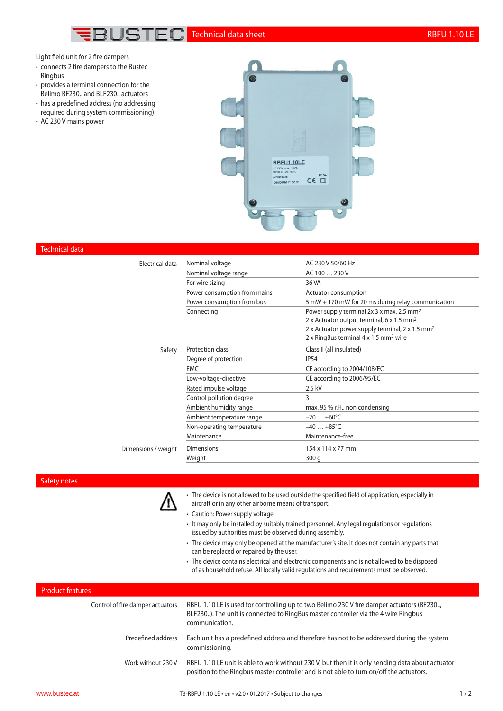

Light field unit for 2 fire dampers

- connects 2 fire dampers to the Bustec Ringbus
- provides a terminal connection for the Belimo BF230.. and BLF230.. actuators
- has a predefined address (no addressing required during system commissioning)
- AC 230 V mains power



### Technical data

| <b>Flectrical data</b> | Nominal voltage              | AC 230 V 50/60 Hz                                                                                              |
|------------------------|------------------------------|----------------------------------------------------------------------------------------------------------------|
|                        | Nominal voltage range        | AC 100  230 V                                                                                                  |
|                        | For wire sizing              | 36 VA                                                                                                          |
|                        | Power consumption from mains | Actuator consumption                                                                                           |
|                        | Power consumption from bus   | 5 mW + 170 mW for 20 ms during relay communication                                                             |
|                        | Connecting                   | Power supply terminal 2x 3 x max. 2.5 mm <sup>2</sup><br>2 x Actuator output terminal, 6 x 1.5 mm <sup>2</sup> |
|                        |                              | 2 x Actuator power supply terminal, 2 x 1.5 mm <sup>2</sup>                                                    |
|                        |                              | 2 x RingBus terminal 4 x 1.5 mm <sup>2</sup> wire                                                              |
| Safety                 | Protection class             | Class II (all insulated)                                                                                       |
|                        | Degree of protection         | <b>IP54</b>                                                                                                    |
|                        | <b>EMC</b>                   | CE according to 2004/108/EC                                                                                    |
|                        | Low-voltage-directive        | CE according to 2006/95/EC                                                                                     |
|                        | Rated impulse voltage        | 2.5 kV                                                                                                         |
|                        | Control pollution degree     | 3                                                                                                              |
|                        | Ambient humidity range       | max. 95 % r.H., non condensing                                                                                 |
|                        | Ambient temperature range    | $-20+60^{\circ}C$                                                                                              |
|                        | Non-operating temperature    | $-40+85^{\circ}C$                                                                                              |
|                        | Maintenance                  | Maintenance-free                                                                                               |
| Dimensions / weight    | <b>Dimensions</b>            | 154 x 114 x 77 mm                                                                                              |
|                        | Weight                       | 300q                                                                                                           |
|                        |                              |                                                                                                                |

### Safety notes



- The device is not allowed to be used outside the specified field of application, especially in aircraft or in any other airborne means of transport.
- Caution: Power supply voltage!
- It may only be installed by suitably trained personnel. Any legal regulations or regulations issued by authorities must be observed during assembly.
- The device may only be opened at the manufacturer's site. It does not contain any parts that can be replaced or repaired by the user.
- The device contains electrical and electronic components and is not allowed to be disposed of as household refuse. All locally valid regulations and requirements must be observed.

### Product features

| Control of fire damper actuators | RBFU 1.10 LE is used for controlling up to two Belimo 230 V fire damper actuators (BF230<br>BLF230). The unit is connected to RingBus master controller via the 4 wire Ringbus<br>communication. |
|----------------------------------|--------------------------------------------------------------------------------------------------------------------------------------------------------------------------------------------------|
| Predefined address               | Each unit has a predefined address and therefore has not to be addressed during the system<br>commissioning.                                                                                     |
| Work without 230 V               | RBFU 1.10 LE unit is able to work without 230 V, but then it is only sending data about actuator<br>position to the Ringbus master controller and is not able to turn on/off the actuators.      |
|                                  |                                                                                                                                                                                                  |